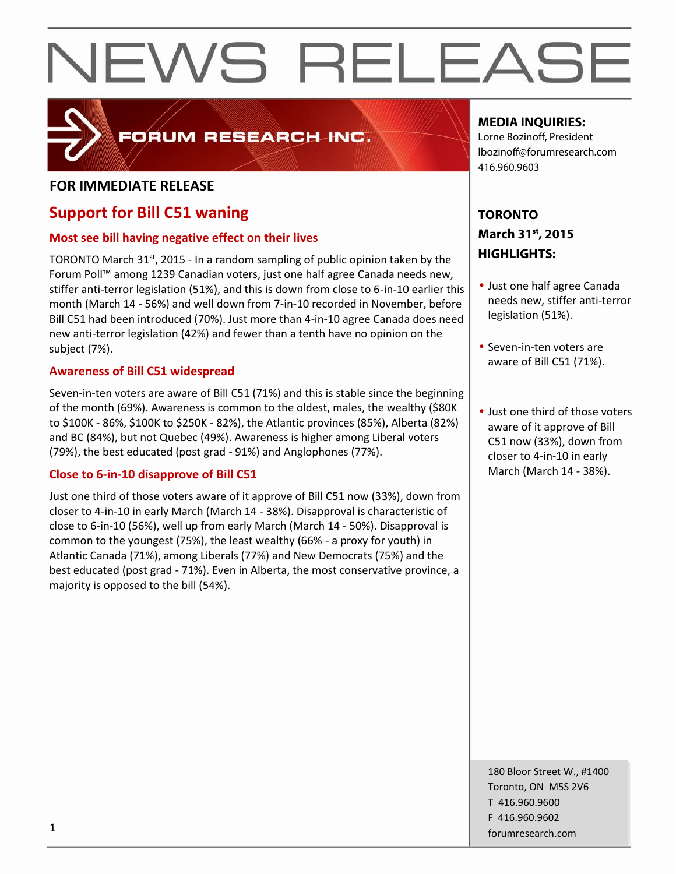

# FORUM RESEARCH INC.

### **FOR IMMEDIATE RELEASE**

# **Support for Bill C51 waning**

### **Most see bill having negative effect on their lives**

TORONTO March 31st, 2015 - In a random sampling of public opinion taken by the Forum Poll™ among 1239 Canadian voters, just one half agree Canada needs new, stiffer anti-terror legislation (51%), and this is down from close to 6-in-10 earlier this month (March 14 - 56%) and well down from 7-in-10 recorded in November, before Bill C51 had been introduced (70%). Just more than 4-in-10 agree Canada does need new anti-terror legislation (42%) and fewer than a tenth have no opinion on the subject (7%).

#### **Awareness of Bill C51 widespread**

Seven-in-ten voters are aware of Bill C51 (71%) and this is stable since the beginning of the month (69%). Awareness is common to the oldest, males, the wealthy (\$80K to \$100K - 86%, \$100K to \$250K - 82%), the Atlantic provinces (85%), Alberta (82%) and BC (84%), but not Quebec (49%). Awareness is higher among Liberal voters (79%), the best educated (post grad - 91%) and Anglophones (77%).

### **Close to 6-in-10 disapprove of Bill C51**

Just one third of those voters aware of it approve of Bill C51 now (33%), down from closer to 4-in-10 in early March (March 14 - 38%). Disapproval is characteristic of close to 6-in-10 (56%), well up from early March (March 14 - 50%). Disapproval is common to the youngest (75%), the least wealthy (66% - a proxy for youth) in Atlantic Canada (71%), among Liberals (77%) and New Democrats (75%) and the best educated (post grad - 71%). Even in Alberta, the most conservative province, a majority is opposed to the bill (54%).

### **MEDIA INQUIRIES:**

Lorne Bozinoff, President lbozinoff@forumresearch.com 416.960.9603

## **TORONTO March 31st, 2015 HIGHLIGHTS:**

- Just one half agree Canada needs new, stiffer anti-terror legislation (51%).
- Seven-in-ten voters are aware of Bill C51 (71%).
- Just one third of those voters aware of it approve of Bill C51 now (33%), down from closer to 4-in-10 in early March (March 14 - 38%).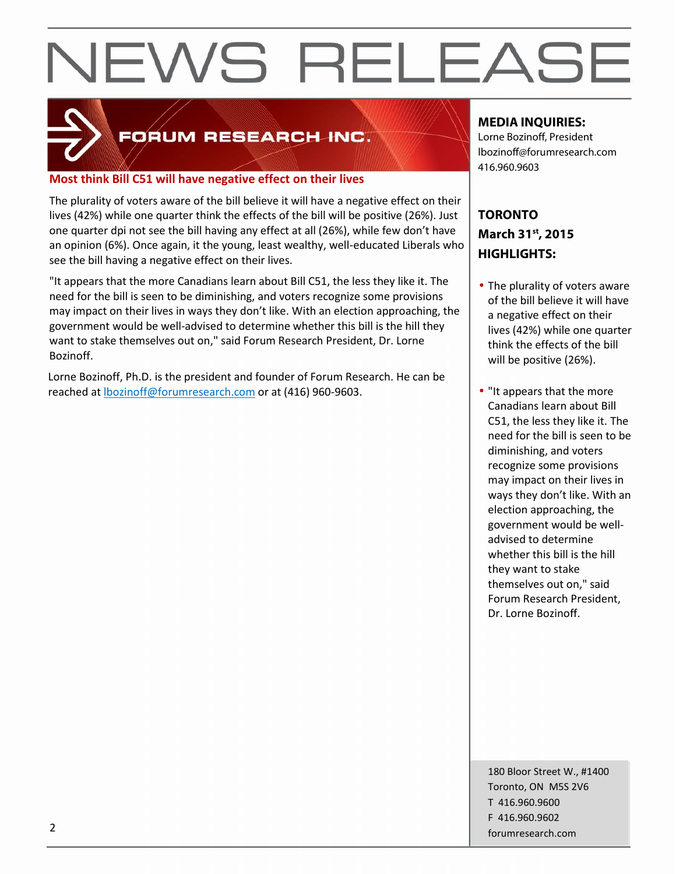

# **FORUM RESEARCH INC.**

#### **Most think Bill C51 will have negative effect on their lives**

The plurality of voters aware of the bill believe it will have a negative effect on their lives (42%) while one quarter think the effects of the bill will be positive (26%). Just one quarter dpi not see the bill having any effect at all (26%), while few don't have an opinion (6%). Once again, it the young, least wealthy, well-educated Liberals who see the bill having a negative effect on their lives.

"It appears that the more Canadians learn about Bill C51, the less they like it. The need for the bill is seen to be diminishing, and voters recognize some provisions may impact on their lives in ways they don't like. With an election approaching, the government would be well-advised to determine whether this bill is the hill they want to stake themselves out on," said Forum Research President, Dr. Lorne Bozinoff.

Lorne Bozinoff, Ph.D. is the president and founder of Forum Research. He can be reached at lbozinoff@forumresearch.com or at (416) 960-9603.

### **MEDIA INQUIRIES:**

Lorne Bozinoff, President lbozinoff@forumresearch.com 416.960.9603

## **TORONTO March 31st, 2015 HIGHLIGHTS:**

- The plurality of voters aware of the bill believe it will have a negative effect on their lives (42%) while one quarter think the effects of the bill will be positive (26%).
- "It appears that the more Canadians learn about Bill C51, the less they like it. The need for the bill is seen to be diminishing, and voters recognize some provisions may impact on their lives in ways they don't like. With an election approaching, the government would be well advised to determine whether this bill is the hill they want to stake themselves out on," said Forum Research President, Dr. Lorne Bozinoff.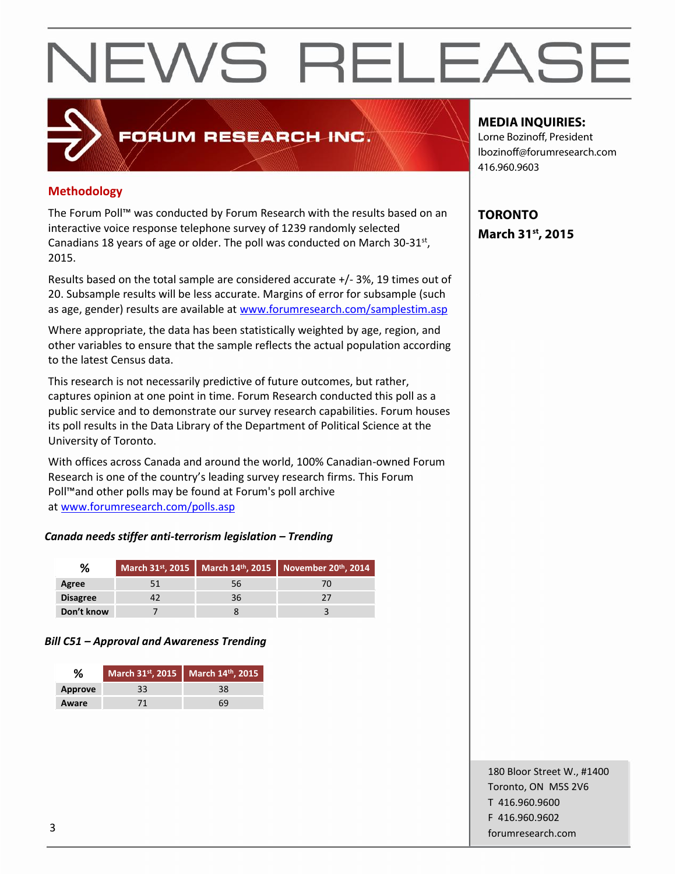# FORUM RESEARCH INC.

#### **Methodology**

The Forum Poll™ was conducted by Forum Research with the results based on an interactive voice response telephone survey of 1239 randomly selected Canadians 18 years of age or older. The poll was conducted on March  $30-31$ <sup>st</sup>, 2015.

Results based on the total sample are considered accurate +/- 3%, 19 times out of 20. Subsample results will be less accurate. Margins of error for subsample (such as age, gender) results are available at www.forumresearch.com/samplestim.asp

Where appropriate, the data has been statistically weighted by age, region, and other variables to ensure that the sample reflects the actual population according to the latest Census data.

This research is not necessarily predictive of future outcomes, but rather, captures opinion at one point in time. Forum Research conducted this poll as a public service and to demonstrate our survey research capabilities. Forum houses its poll results in the Data Library of the Department of Political Science at the University of Toronto.

With offices across Canada and around the world, 100% Canadian-owned Forum Research is one of the country's leading survey research firms. This Forum Poll™and other polls may be found at Forum's poll archive at www.forumresearch.com/polls.asp

#### *Canada needs stiffer anti-terrorism legislation – Trending*

|                 |     | March 31 <sup>st</sup> , 2015   March 14 <sup>th</sup> , 2015   November 20 <sup>th</sup> , 2014 |
|-----------------|-----|--------------------------------------------------------------------------------------------------|
| Agree           | 56. |                                                                                                  |
| <b>Disagree</b> | 36. |                                                                                                  |
| Don't know      |     |                                                                                                  |

#### *Bill C51 – Approval and Awareness Trending*

| %              | March 31st, 2015 March 14th, 2015 |
|----------------|-----------------------------------|
| <b>Approve</b> | 38                                |
| Aware          | 69                                |

#### **MEDIA INQUIRIES:**

Lorne Bozinoff, President lbozinoff@forumresearch.com 416.960.9603

**TORONTO March 31st, 2015**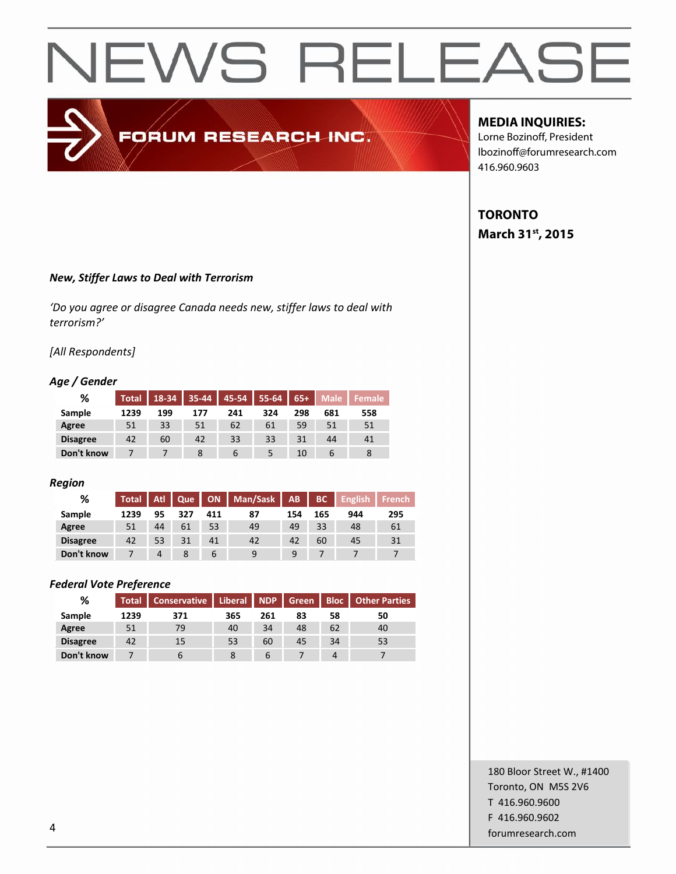# FORUM RESEARCH INC.

#### **MEDIA INQUIRIES:**

Lorne Bozinoff, President lbozinoff@forumresearch.com 416.960.9603

## **TORONTO March 31st, 2015**

#### *New, Stiffer Laws to Deal with Terrorism*

*'Do you agree or disagree Canada needs new, stiffer laws to deal with terrorism?'*

#### *[All Respondents]*

#### *Age / Gender*

| %               | <b>Total</b> |     | 18-34 35-44 45-54 |     | $55-64$ | $65+$ | <b>Male</b> | <b>Female</b> |
|-----------------|--------------|-----|-------------------|-----|---------|-------|-------------|---------------|
| Sample          | 1239         | 199 | 177               | 241 | 324     | 298   | 681         | 558           |
| Agree           | 51           | 33  | 51                | 62  | 61      | 59    | 51          | 51            |
| <b>Disagree</b> | 42           | 60  | 42                | 33  | 33      | 31    | 44          | 41            |
| Don't know      |              |     |                   | b   |         | 10    | b           |               |

#### *Region*

| %               | <b>Total</b> | Atl | Que | <b>ON</b> | Man/Sask   AB |     | <b>BC</b> | English <sup>1</sup> | <b>French</b> |
|-----------------|--------------|-----|-----|-----------|---------------|-----|-----------|----------------------|---------------|
| Sample          | 1239         | 95  | 327 | 411       | 87            | 154 | 165       | 944                  | 295           |
| Agree           | 51           | 44  | 61  | 53        | 49            | 49  | 33        | 48                   | 61            |
| <b>Disagree</b> | 42           | 53  | 31  | 41        | 42            | 42  | 60        | 45                   | 31            |
| Don't know      |              | 4   | 8   | ь         | q             | 9   |           |                      |               |

#### *Federal Vote Preference*

| ℅               | <b>Total</b> | <b>Conservative</b> | Liberal NDP Green |     |    |    | <b>Bloc</b>   Other Parties |
|-----------------|--------------|---------------------|-------------------|-----|----|----|-----------------------------|
| Sample          | 1239         | 371                 | 365               | 261 | 83 | 58 | 50                          |
| Agree           | 51           | 79                  | 40                | 34  | 48 | 62 | 40                          |
| <b>Disagree</b> | 42           | 15                  | 53                | 60  | 45 | 34 | 53                          |
| Don't know      |              | b                   |                   | b   |    | 4  |                             |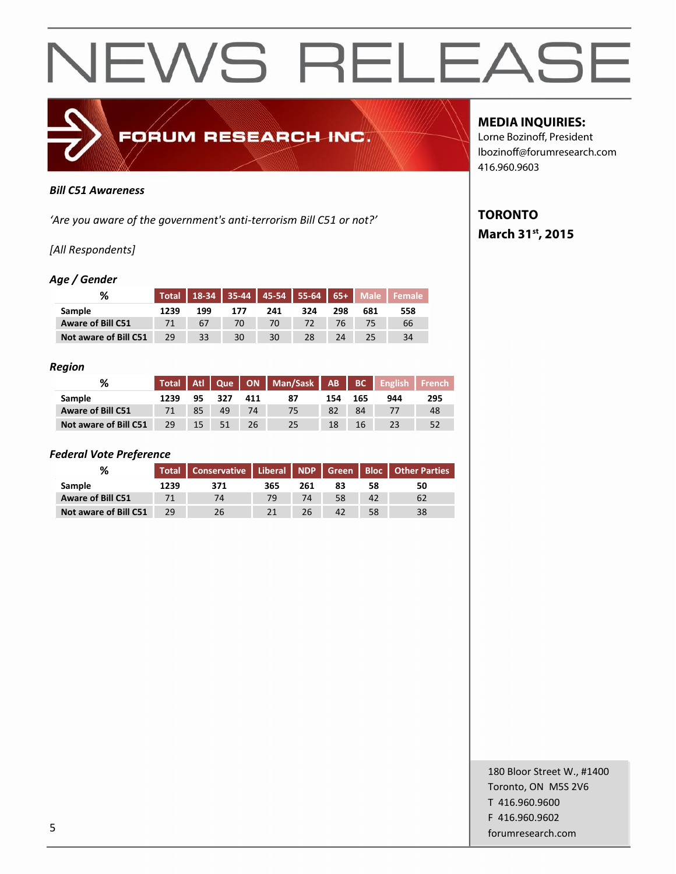

#### *Bill C51 Awareness*

*'Are you aware of the government's anti-terrorism Bill C51 or not?'*

#### *[All Respondents]*

#### *Age / Gender*

| %                        |      |     |     |     |     |     |     | Total   18-34   35-44   45-54   55-64   65+   Male   Female |
|--------------------------|------|-----|-----|-----|-----|-----|-----|-------------------------------------------------------------|
| Sample                   | 1239 | 199 | 177 | 241 | 324 | 298 | 681 | 558                                                         |
| <b>Aware of Bill C51</b> | 71   | 67  | 70  | 70  | 72  | 76  | 75  | 66                                                          |
| Not aware of Bill C51    | 29   | 33  | 30  | 30  | 28  | 24  | 25  | 34                                                          |

#### *Region*

| %                        | <b>Total</b> | Atl 1 | Oue |     | ON   Man/Sask   AB   BC |     |     | <b>English</b> | <b>French</b> |
|--------------------------|--------------|-------|-----|-----|-------------------------|-----|-----|----------------|---------------|
| <b>Sample</b>            | 1239         | 95    | 327 | 411 |                         | 154 | 165 | 944            | 295           |
| <b>Aware of Bill C51</b> |              | 85    | 49  | 74  |                         | 82  | 84  |                | 48            |
| Not aware of Bill C51    | 29           | 15    |     | 26  |                         | 18  | 16  |                | 52            |

#### *Federal Vote Preference*

| ℅                        | <b>Total</b> | Conservative   Liberal   NDP   Green   Bloc   Other Parties |     |     |    |    |    |
|--------------------------|--------------|-------------------------------------------------------------|-----|-----|----|----|----|
| <b>Sample</b>            | 1239         | 371                                                         | 365 | 261 | 83 | 58 | 50 |
| <b>Aware of Bill C51</b> |              | 74                                                          | 79  | 74  | 58 | 42 |    |
| Not aware of Bill C51    | 29           | 26                                                          |     | 26  | 42 | 58 | 38 |

#### **MEDIA INQUIRIES:**

Lorne Bozinoff, President lbozinoff@forumresearch.com 416.960.9603

## **TORONTO March 31st, 2015**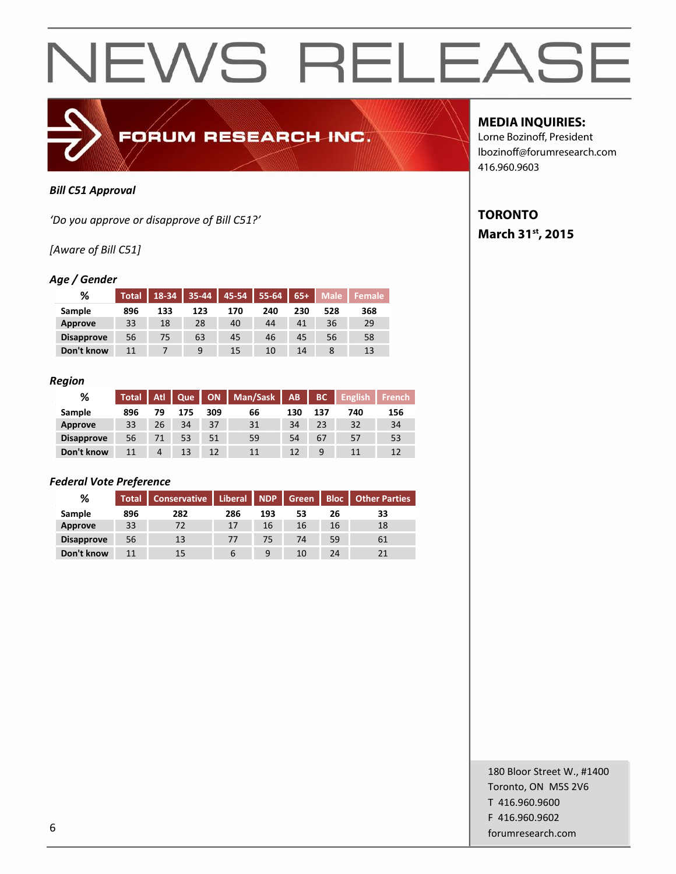

#### *Bill C51 Approval*

*'Do you approve or disapprove of Bill C51?'*

*[Aware of Bill C51]*

#### *Age / Gender*

| %                 | <b>Total</b> | $18-34$ 35-44 |     |     | 45-54   55-64   65+ |     |     | Male Female |
|-------------------|--------------|---------------|-----|-----|---------------------|-----|-----|-------------|
| Sample            | 896          | 133           | 123 | 170 | 240                 | 230 | 528 | 368         |
| Approve           | 33           | 18            | 28  | 40  | 44                  | 41  | 36  | 29          |
| <b>Disapprove</b> | 56           | 75            | 63  | 45  | 46                  | 45  | 56  | 58          |
| Don't know        |              |               | 9   | 15  | 10                  | 14  |     | 13          |

#### *Region*

| %                 | <b>Total</b> | Atl | Que |     | ON   Man/Sask | AB  | BC  | <b>English</b> | <b>French</b> |
|-------------------|--------------|-----|-----|-----|---------------|-----|-----|----------------|---------------|
| Sample            | 896          | 79  | 175 | 309 | 66            | 130 | 137 | 740            | 156           |
| Approve           | 33           | 26  | 34  | 37  | 31            | 34  | 23  | 32             | 34            |
| <b>Disapprove</b> | 56           | 71  | 53  | 51  | 59            | 54  | 67  | 57             | 53            |
| Don't know        | 11           | 4   | 13  | 12  | 11            | 12  | 9   |                |               |

#### *Federal Vote Preference*

| %                 | <b>Total</b> | Conservative   Liberal   NDP   Green |     |     |    |    | <b>Bloc</b>   Other Parties |
|-------------------|--------------|--------------------------------------|-----|-----|----|----|-----------------------------|
| Sample            | 896          | 282                                  | 286 | 193 | 53 | 26 | 33                          |
| Approve           | 33           | 72                                   | 17  | 16  | 16 | 16 | 18                          |
| <b>Disapprove</b> | 56           | 13                                   | 77  | 75  | 74 | 59 | 61                          |
| Don't know        | 11           | 15                                   | 6   | 9   | 10 | 24 |                             |

### **MEDIA INQUIRIES:**

Lorne Bozinoff, President lbozinoff@forumresearch.com 416.960.9603

## **TORONTO March 31st, 2015**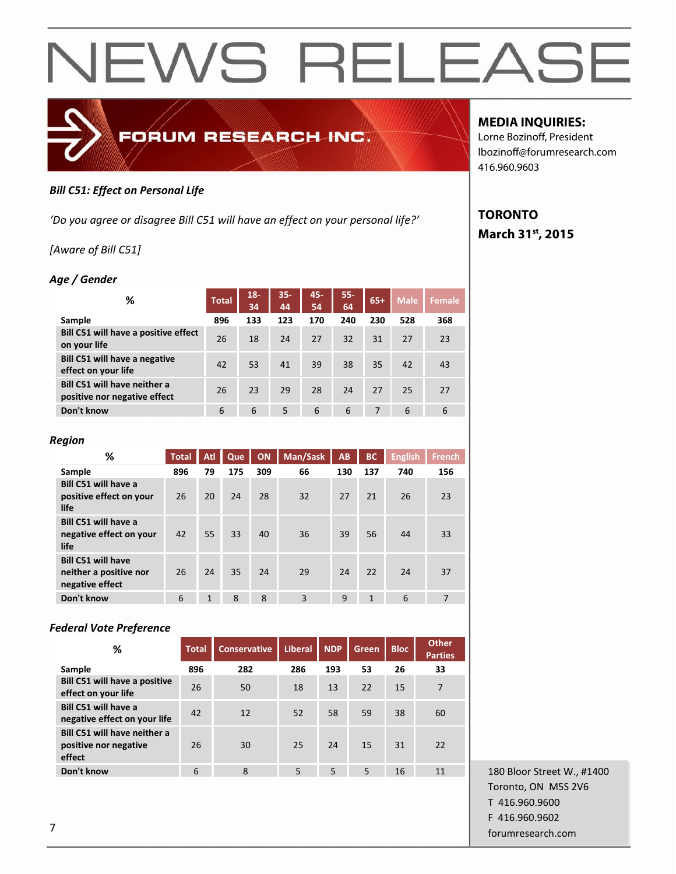

#### *Bill C51: Effect on Personal Life*

*'Do you agree or disagree Bill C51 will have an effect on your personal life?'*

*[Aware of Bill C51]*

#### *Age / Gender*

| ℅                                                            | <b>Total</b> | $18 -$<br>34 | $35 -$<br>44 | 45-<br>54 | $55 -$<br>64 | $65+$ | <b>Male</b> | <b>Female</b> |
|--------------------------------------------------------------|--------------|--------------|--------------|-----------|--------------|-------|-------------|---------------|
| Sample                                                       | 896          | 133          | 123          | 170       | 240          | 230   | 528         | 368           |
| Bill C51 will have a positive effect<br>on your life         | 26           | 18           | 24           | 27        | 32           | 31    | 27          | 23            |
| <b>Bill C51 will have a negative</b><br>effect on your life  | 42           | 53           | 41           | 39        | 38           | 35    | 42          | 43            |
| Bill C51 will have neither a<br>positive nor negative effect | 26           | 23           | 29           | 28        | 24           | 27    | 25          | 27            |
| Don't know                                                   | 6            | 6            | 5            | 6         | 6            | 7     | 6           | 6             |

| %                                                                      | <b>Total</b> | Atl | Que | ON  | Man/Sask | <b>AB</b> | BC  | <b>English</b> | <b>French</b>  |
|------------------------------------------------------------------------|--------------|-----|-----|-----|----------|-----------|-----|----------------|----------------|
| Sample                                                                 | 896          | 79  | 175 | 309 | 66       | 130       | 137 | 740            | 156            |
| Bill C51 will have a<br>positive effect on your<br>life                | 26           | 20  | 24  | 28  | 32       | 27        | 21  | 26             | 23             |
| Bill C51 will have a<br>negative effect on your<br>life                | 42           | 55  | 33  | 40  | 36       | 39        | 56  | 44             | 33             |
| <b>Bill C51 will have</b><br>neither a positive nor<br>negative effect | 26           | 24  | 35  | 24  | 29       | 24        | 22  | 24             | 37             |
| Don't know                                                             | 6            | 1   | 8   | 8   | 3        | 9         | 1   | 6              | $\overline{7}$ |

#### *Federal Vote Preference*

| ℅                                                               | <b>Total</b> | <b>Conservative</b> | <b>Liberal</b> | <b>NDP</b> | Green | <b>Bloc</b> | <b>Other</b><br><b>Parties</b> |
|-----------------------------------------------------------------|--------------|---------------------|----------------|------------|-------|-------------|--------------------------------|
| Sample                                                          | 896          | 282                 | 286            | 193        | 53    | 26          | 33                             |
| <b>Bill C51 will have a positive</b><br>effect on your life     | 26           | 50                  | 18             | 13         | 22    | 15          | $\overline{7}$                 |
| Bill C51 will have a<br>negative effect on your life            | 42           | 12                  | 52             | 58         | 59    | 38          | 60                             |
| Bill C51 will have neither a<br>positive nor negative<br>effect | 26           | 30                  | 25             | 24         | 15    | 31          | 22                             |
| Don't know                                                      | 6            | 8                   | 5              | 5          | 5     | 16          | 11                             |

180 Bloor Street W., #1400 Toronto, ON M5S 2V6 T 416.960.9600 F 416.960.9602 forumresearch.com 7

### **MEDIA INQUIRIES:**

Lorne Bozinoff, President lbozinoff@forumresearch.com 416.960.9603

## **TORONTO March 31st, 2015**